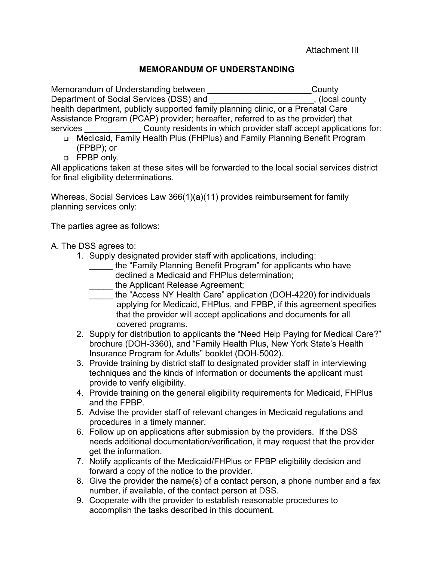Attachment III

## **MEMORANDUM OF UNDERSTANDING**

Memorandum of Understanding between \_\_\_\_\_\_\_\_\_\_\_\_\_\_\_\_\_\_\_\_\_\_\_\_\_\_\_\_\_County Department of Social Services (DSS) and \_\_\_\_\_\_\_\_\_\_\_\_\_\_\_\_\_\_\_\_\_\_, (local county health department, publicly supported family planning clinic, or a Prenatal Care Assistance Program (PCAP) provider; hereafter, referred to as the provider) that services **EXECUTE:** County residents in which provider staff accept applications for:

- Medicaid, Family Health Plus (FHPlus) and Family Planning Benefit Program (FPBP); or
- FPBP only.

All applications taken at these sites will be forwarded to the local social services district for final eligibility determinations.

Whereas, Social Services Law 366(1)(a)(11) provides reimbursement for family planning services only:

The parties agree as follows:

- A. The DSS agrees to:
	- 1. Supply designated provider staff with applications, including:
		- \_\_\_\_\_ the "Family Planning Benefit Program" for applicants who have declined a Medicaid and FHPlus determination;
		- the Applicant Release Agreement;
		- \_\_\_\_\_ the "Access NY Health Care" application (DOH-4220) for individuals applying for Medicaid, FHPlus, and FPBP, if this agreement specifies that the provider will accept applications and documents for all covered programs.
	- 2. Supply for distribution to applicants the "Need Help Paying for Medical Care?" brochure (DOH-3360), and "Family Health Plus, New York State's Health Insurance Program for Adults" booklet (DOH-5002).
	- 3. Provide training by district staff to designated provider staff in interviewing techniques and the kinds of information or documents the applicant must provide to verify eligibility.
	- 4. Provide training on the general eligibility requirements for Medicaid, FHPlus and the FPBP.
	- 5. Advise the provider staff of relevant changes in Medicaid regulations and procedures in a timely manner.
	- 6. Follow up on applications after submission by the providers. If the DSS needs additional documentation/verification, it may request that the provider get the information.
	- 7. Notify applicants of the Medicaid/FHPlus or FPBP eligibility decision and forward a copy of the notice to the provider.
	- 8. Give the provider the name(s) of a contact person, a phone number and a fax number, if available, of the contact person at DSS.
	- 9. Cooperate with the provider to establish reasonable procedures to accomplish the tasks described in this document.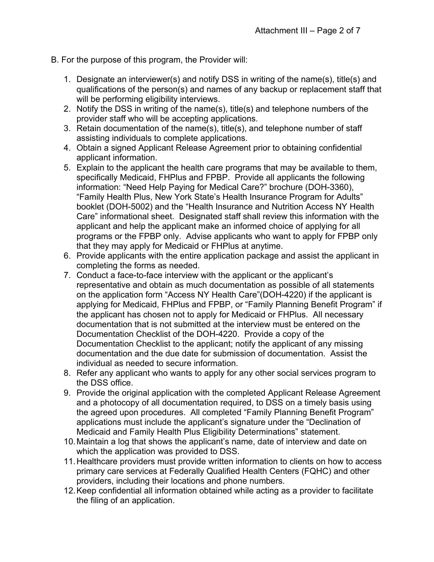- B. For the purpose of this program, the Provider will:
	- 1. Designate an interviewer(s) and notify DSS in writing of the name(s), title(s) and qualifications of the person(s) and names of any backup or replacement staff that will be performing eligibility interviews.
	- 2. Notify the DSS in writing of the name(s), title(s) and telephone numbers of the provider staff who will be accepting applications.
	- 3. Retain documentation of the name(s), title(s), and telephone number of staff assisting individuals to complete applications.
	- 4. Obtain a signed Applicant Release Agreement prior to obtaining confidential applicant information.
	- 5. Explain to the applicant the health care programs that may be available to them, specifically Medicaid, FHPlus and FPBP. Provide all applicants the following information: "Need Help Paying for Medical Care?" brochure (DOH-3360), "Family Health Plus, New York State's Health Insurance Program for Adults" booklet (DOH-5002) and the "Health Insurance and Nutrition Access NY Health Care" informational sheet. Designated staff shall review this information with the applicant and help the applicant make an informed choice of applying for all programs or the FPBP only. Advise applicants who want to apply for FPBP only that they may apply for Medicaid or FHPlus at anytime.
	- 6. Provide applicants with the entire application package and assist the applicant in completing the forms as needed.
	- 7. Conduct a face-to-face interview with the applicant or the applicant's representative and obtain as much documentation as possible of all statements on the application form "Access NY Health Care"(DOH-4220) if the applicant is applying for Medicaid, FHPlus and FPBP, or "Family Planning Benefit Program" if the applicant has chosen not to apply for Medicaid or FHPlus. All necessary documentation that is not submitted at the interview must be entered on the Documentation Checklist of the DOH-4220. Provide a copy of the Documentation Checklist to the applicant; notify the applicant of any missing documentation and the due date for submission of documentation. Assist the individual as needed to secure information.
	- 8. Refer any applicant who wants to apply for any other social services program to the DSS office.
	- 9. Provide the original application with the completed Applicant Release Agreement and a photocopy of all documentation required, to DSS on a timely basis using the agreed upon procedures. All completed "Family Planning Benefit Program" applications must include the applicant's signature under the "Declination of Medicaid and Family Health Plus Eligibility Determinations" statement.
	- 10. Maintain a log that shows the applicant's name, date of interview and date on which the application was provided to DSS.
	- 11. Healthcare providers must provide written information to clients on how to access primary care services at Federally Qualified Health Centers (FQHC) and other providers, including their locations and phone numbers.
	- 12. Keep confidential all information obtained while acting as a provider to facilitate the filing of an application.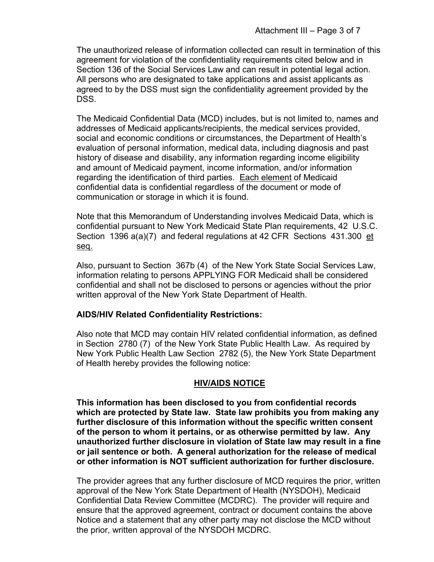The unauthorized release of information collected can result in termination of this agreement for violation of the confidentiality requirements cited below and in Section 136 of the Social Services Law and can result in potential legal action. All persons who are designated to take applications and assist applicants as agreed to by the DSS must sign the confidentiality agreement provided by the DSS.

The Medicaid Confidential Data (MCD) includes, but is not limited to, names and addresses of Medicaid applicants/recipients, the medical services provided, social and economic conditions or circumstances, the Department of Health's evaluation of personal information, medical data, including diagnosis and past history of disease and disability, any information regarding income eligibility and amount of Medicaid payment, income information, and/or information regarding the identification of third parties. Each element of Medicaid confidential data is confidential regardless of the document or mode of communication or storage in which it is found.

Note that this Memorandum of Understanding involves Medicaid Data, which is confidential pursuant to New York Medicaid State Plan requirements, 42 U.S.C. Section 1396 a(a)(7) and federal regulations at 42 CFR Sections 431.300 et seq.

Also, pursuant to Section 367b (4) of the New York State Social Services Law, information relating to persons APPLYING FOR Medicaid shall be considered confidential and shall not be disclosed to persons or agencies without the prior written approval of the New York State Department of Health.

## **AIDS/HIV Related Confidentiality Restrictions:**

Also note that MCD may contain HIV related confidential information, as defined in Section 2780 (7) of the New York State Public Health Law. As required by New York Public Health Law Section 2782 (5), the New York State Department of Health hereby provides the following notice:

# **HIV/AIDS NOTICE**

**This information has been disclosed to you from confidential records which are protected by State law. State law prohibits you from making any further disclosure of this information without the specific written consent of the person to whom it pertains, or as otherwise permitted by law. Any unauthorized further disclosure in violation of State law may result in a fine or jail sentence or both. A general authorization for the release of medical or other information is NOT sufficient authorization for further disclosure.** 

The provider agrees that any further disclosure of MCD requires the prior, written approval of the New York State Department of Health (NYSDOH), Medicaid Confidential Data Review Committee (MCDRC). The provider will require and ensure that the approved agreement, contract or document contains the above Notice and a statement that any other party may not disclose the MCD without the prior, written approval of the NYSDOH MCDRC.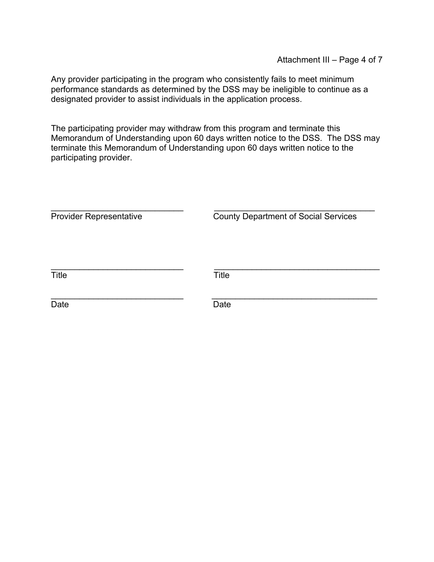Any provider participating in the program who consistently fails to meet minimum performance standards as determined by the DSS may be ineligible to continue as a designated provider to assist individuals in the application process.

The participating provider may withdraw from this program and terminate this Memorandum of Understanding upon 60 days written notice to the DSS. The DSS may terminate this Memorandum of Understanding upon 60 days written notice to the participating provider.

| <b>Provider Representative</b> | <b>County Department of Social Services</b> |
|--------------------------------|---------------------------------------------|
| <b>Title</b>                   | <b>Title</b>                                |
| Date                           | Date                                        |

\_\_\_\_\_\_\_\_\_\_\_\_\_\_\_\_\_\_\_\_\_\_\_\_\_\_\_\_ \_\_\_\_\_\_\_\_\_\_\_\_\_\_\_\_\_\_\_\_\_\_\_\_\_\_\_\_\_\_\_\_\_\_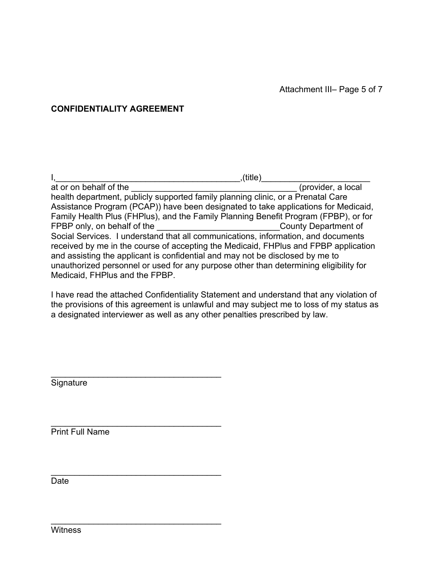### **CONFIDENTIALITY AGREEMENT**

The intermal controlled the set of the set of the set of the set of the set of the set of the set of the set o<br>  $\frac{1}{2}$  (provider, a local at or on behalf of the health department, publicly supported family planning clinic, or a Prenatal Care Assistance Program (PCAP)) have been designated to take applications for Medicaid, Family Health Plus (FHPlus), and the Family Planning Benefit Program (FPBP), or for FPBP only, on behalf of the example of the setting of the setting of the setting of the setting of the setting of the setting of the setting of the setting of the setting of the setting of the setting of the setting of the Social Services. I understand that all communications, information, and documents received by me in the course of accepting the Medicaid, FHPlus and FPBP application and assisting the applicant is confidential and may not be disclosed by me to unauthorized personnel or used for any purpose other than determining eligibility for Medicaid, FHPlus and the FPBP.

I have read the attached Confidentiality Statement and understand that any violation of the provisions of this agreement is unlawful and may subject me to loss of my status as a designated interviewer as well as any other penalties prescribed by law.

Signature

Print Full Name

\_\_\_\_\_\_\_\_\_\_\_\_\_\_\_\_\_\_\_\_\_\_\_\_\_\_\_\_\_\_\_\_\_\_\_\_

\_\_\_\_\_\_\_\_\_\_\_\_\_\_\_\_\_\_\_\_\_\_\_\_\_\_\_\_\_\_\_\_\_\_\_\_

\_\_\_\_\_\_\_\_\_\_\_\_\_\_\_\_\_\_\_\_\_\_\_\_\_\_\_\_\_\_\_\_\_\_\_\_

\_\_\_\_\_\_\_\_\_\_\_\_\_\_\_\_\_\_\_\_\_\_\_\_\_\_\_\_\_\_\_\_\_\_\_\_

Date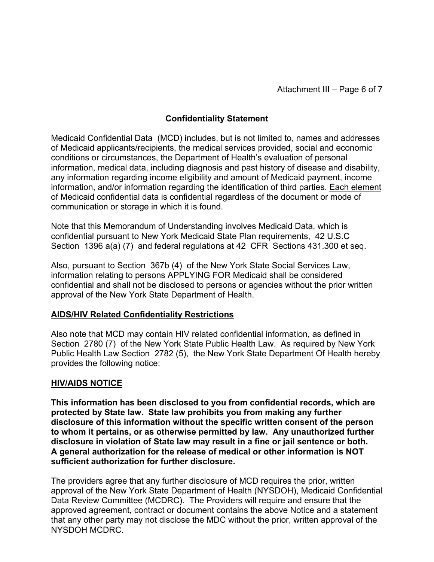## **Confidentiality Statement**

Medicaid Confidential Data (MCD) includes, but is not limited to, names and addresses of Medicaid applicants/recipients, the medical services provided, social and economic conditions or circumstances, the Department of Health's evaluation of personal information, medical data, including diagnosis and past history of disease and disability, any information regarding income eligibility and amount of Medicaid payment, income information, and/or information regarding the identification of third parties. Each element of Medicaid confidential data is confidential regardless of the document or mode of communication or storage in which it is found.

Note that this Memorandum of Understanding involves Medicaid Data, which is confidential pursuant to New York Medicaid State Plan requirements, 42 U.S.C Section 1396 a(a) (7) and federal regulations at 42 CFR Sections 431.300 et seq.

Also, pursuant to Section 367b (4) of the New York State Social Services Law, information relating to persons APPLYING FOR Medicaid shall be considered confidential and shall not be disclosed to persons or agencies without the prior written approval of the New York State Department of Health.

#### **AIDS/HIV Related Confidentiality Restrictions**

Also note that MCD may contain HIV related confidential information, as defined in Section 2780 (7) of the New York State Public Health Law. As required by New York Public Health Law Section 2782 (5), the New York State Department Of Health hereby provides the following notice:

#### **HIV/AIDS NOTICE**

**This information has been disclosed to you from confidential records, which are protected by State law. State law prohibits you from making any further disclosure of this information without the specific written consent of the person to whom it pertains, or as otherwise permitted by law. Any unauthorized further disclosure in violation of State law may result in a fine or jail sentence or both. A general authorization for the release of medical or other information is NOT sufficient authorization for further disclosure.** 

The providers agree that any further disclosure of MCD requires the prior, written approval of the New York State Department of Health (NYSDOH), Medicaid Confidential Data Review Committee (MCDRC). The Providers will require and ensure that the approved agreement, contract or document contains the above Notice and a statement that any other party may not disclose the MDC without the prior, written approval of the NYSDOH MCDRC.